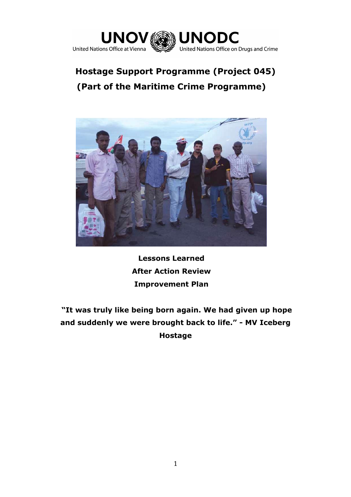

# **Hostage Support Programme (Project 045) (Part of the Maritime Crime Programme)**



**Lessons Learned After Action Review Improvement Plan**

**"It was truly like being born again. We had given up hope and suddenly we were brought back to life." - MV Iceberg Hostage**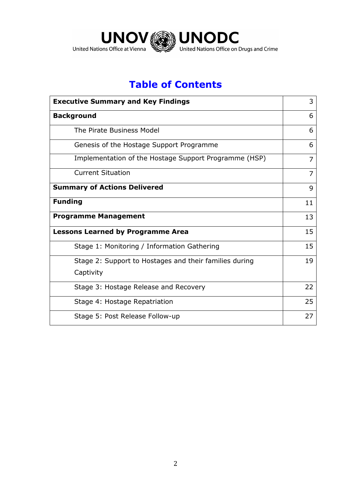

# **Table of Contents**

| <b>Executive Summary and Key Findings</b>              |                |  |  |  |
|--------------------------------------------------------|----------------|--|--|--|
| <b>Background</b>                                      | 6              |  |  |  |
| The Pirate Business Model                              |                |  |  |  |
| Genesis of the Hostage Support Programme               | 6              |  |  |  |
| Implementation of the Hostage Support Programme (HSP)  |                |  |  |  |
| <b>Current Situation</b>                               | $\overline{7}$ |  |  |  |
| <b>Summary of Actions Delivered</b>                    | 9              |  |  |  |
| <b>Funding</b>                                         | 11             |  |  |  |
| <b>Programme Management</b>                            | 13             |  |  |  |
| <b>Lessons Learned by Programme Area</b>               | 15             |  |  |  |
| Stage 1: Monitoring / Information Gathering            |                |  |  |  |
| Stage 2: Support to Hostages and their families during |                |  |  |  |
| Captivity                                              |                |  |  |  |
| Stage 3: Hostage Release and Recovery                  | 22             |  |  |  |
| Stage 4: Hostage Repatriation                          | 25             |  |  |  |
| Stage 5: Post Release Follow-up                        | 27             |  |  |  |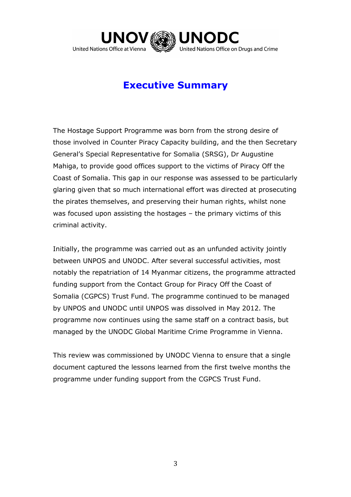

## **Executive Summary**

The Hostage Support Programme was born from the strong desire of those involved in Counter Piracy Capacity building, and the then Secretary General's Special Representative for Somalia (SRSG), Dr Augustine Mahiga, to provide good offices support to the victims of Piracy Off the Coast of Somalia. This gap in our response was assessed to be particularly glaring given that so much international effort was directed at prosecuting the pirates themselves, and preserving their human rights, whilst none was focused upon assisting the hostages – the primary victims of this criminal activity.

Initially, the programme was carried out as an unfunded activity jointly between UNPOS and UNODC. After several successful activities, most notably the repatriation of 14 Myanmar citizens, the programme attracted funding support from the Contact Group for Piracy Off the Coast of Somalia (CGPCS) Trust Fund. The programme continued to be managed by UNPOS and UNODC until UNPOS was dissolved in May 2012. The programme now continues using the same staff on a contract basis, but managed by the UNODC Global Maritime Crime Programme in Vienna.

This review was commissioned by UNODC Vienna to ensure that a single document captured the lessons learned from the first twelve months the programme under funding support from the CGPCS Trust Fund.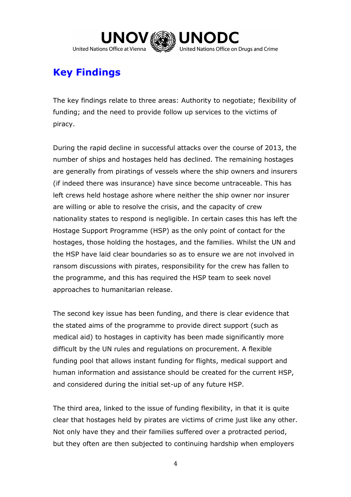

# **Key Findings**

The key findings relate to three areas: Authority to negotiate; flexibility of funding; and the need to provide follow up services to the victims of piracy.

During the rapid decline in successful attacks over the course of 2013, the number of ships and hostages held has declined. The remaining hostages are generally from piratings of vessels where the ship owners and insurers (if indeed there was insurance) have since become untraceable. This has left crews held hostage ashore where neither the ship owner nor insurer are willing or able to resolve the crisis, and the capacity of crew nationality states to respond is negligible. In certain cases this has left the Hostage Support Programme (HSP) as the only point of contact for the hostages, those holding the hostages, and the families. Whilst the UN and the HSP have laid clear boundaries so as to ensure we are not involved in ransom discussions with pirates, responsibility for the crew has fallen to the programme, and this has required the HSP team to seek novel approaches to humanitarian release.

The second key issue has been funding, and there is clear evidence that the stated aims of the programme to provide direct support (such as medical aid) to hostages in captivity has been made significantly more difficult by the UN rules and regulations on procurement. A flexible funding pool that allows instant funding for flights, medical support and human information and assistance should be created for the current HSP, and considered during the initial set-up of any future HSP.

The third area, linked to the issue of funding flexibility, in that it is quite clear that hostages held by pirates are victims of crime just like any other. Not only have they and their families suffered over a protracted period, but they often are then subjected to continuing hardship when employers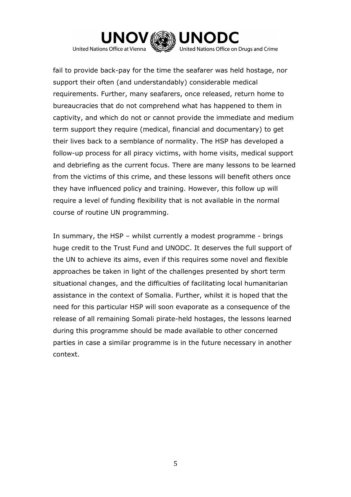

fail to provide back-pay for the time the seafarer was held hostage, nor support their often (and understandably) considerable medical requirements. Further, many seafarers, once released, return home to bureaucracies that do not comprehend what has happened to them in captivity, and which do not or cannot provide the immediate and medium term support they require (medical, financial and documentary) to get their lives back to a semblance of normality. The HSP has developed a follow-up process for all piracy victims, with home visits, medical support and debriefing as the current focus. There are many lessons to be learned from the victims of this crime, and these lessons will benefit others once they have influenced policy and training. However, this follow up will require a level of funding flexibility that is not available in the normal course of routine UN programming.

In summary, the HSP – whilst currently a modest programme - brings huge credit to the Trust Fund and UNODC. It deserves the full support of the UN to achieve its aims, even if this requires some novel and flexible approaches be taken in light of the challenges presented by short term situational changes, and the difficulties of facilitating local humanitarian assistance in the context of Somalia. Further, whilst it is hoped that the need for this particular HSP will soon evaporate as a consequence of the release of all remaining Somali pirate-held hostages, the lessons learned during this programme should be made available to other concerned parties in case a similar programme is in the future necessary in another context.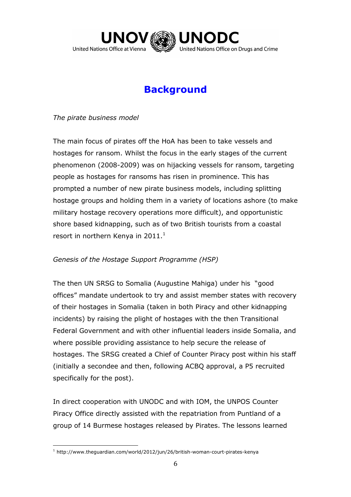

# **Background**

*The pirate business model*

The main focus of pirates off the HoA has been to take vessels and hostages for ransom. Whilst the focus in the early stages of the current phenomenon (2008-2009) was on hijacking vessels for ransom, targeting people as hostages for ransoms has risen in prominence. This has prompted a number of new pirate business models, including splitting hostage groups and holding them in a variety of locations ashore (to make military hostage recovery operations more difficult), and opportunistic shore based kidnapping, such as of two British tourists from a coastal resort in northern Kenya in  $2011<sup>1</sup>$ 

## *Genesis of the Hostage Support Programme (HSP)*

The then UN SRSG to Somalia (Augustine Mahiga) under his "good offices" mandate undertook to try and assist member states with recovery of their hostages in Somalia (taken in both Piracy and other kidnapping incidents) by raising the plight of hostages with the then Transitional Federal Government and with other influential leaders inside Somalia, and where possible providing assistance to help secure the release of hostages. The SRSG created a Chief of Counter Piracy post within his staff (initially a secondee and then, following ACBQ approval, a P5 recruited specifically for the post).

In direct cooperation with UNODC and with IOM, the UNPOS Counter Piracy Office directly assisted with the repatriation from Puntland of a group of 14 Burmese hostages released by Pirates. The lessons learned

 $\overline{a}$  $1$  http://www.theguardian.com/world/2012/jun/26/british-woman-court-pirates-kenya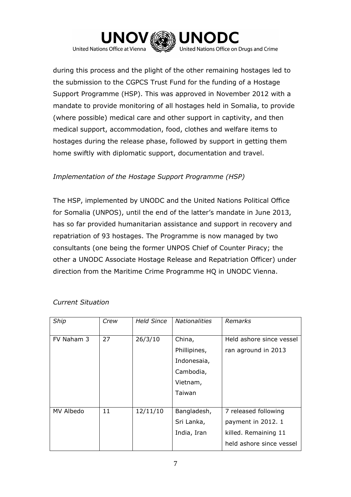

during this process and the plight of the other remaining hostages led to the submission to the CGPCS Trust Fund for the funding of a Hostage Support Programme (HSP). This was approved in November 2012 with a mandate to provide monitoring of all hostages held in Somalia, to provide (where possible) medical care and other support in captivity, and then medical support, accommodation, food, clothes and welfare items to hostages during the release phase, followed by support in getting them home swiftly with diplomatic support, documentation and travel.

## *Implementation of the Hostage Support Programme (HSP)*

The HSP, implemented by UNODC and the United Nations Political Office for Somalia (UNPOS), until the end of the latter's mandate in June 2013, has so far provided humanitarian assistance and support in recovery and repatriation of 93 hostages. The Programme is now managed by two consultants (one being the former UNPOS Chief of Counter Piracy; the other a UNODC Associate Hostage Release and Repatriation Officer) under direction from the Maritime Crime Programme HQ in UNODC Vienna.

| Ship       | Crew | <b>Held Since</b> | <b>Nationalities</b> | Remarks                  |
|------------|------|-------------------|----------------------|--------------------------|
| FV Naham 3 | 27   | 26/3/10           | China,               | Held ashore since vessel |
|            |      |                   | Phillipines,         | ran aground in 2013      |
|            |      |                   | Indonesaia,          |                          |
|            |      |                   | Cambodia,            |                          |
|            |      |                   | Vietnam,             |                          |
|            |      |                   | Taiwan               |                          |
|            |      |                   |                      |                          |
| MV Albedo  | 11   | 12/11/10          | Bangladesh,          | 7 released following     |
|            |      |                   | Sri Lanka,           | payment in 2012. 1       |
|            |      |                   | India, Iran          | killed. Remaining 11     |
|            |      |                   |                      | held ashore since vessel |

### *Current Situation*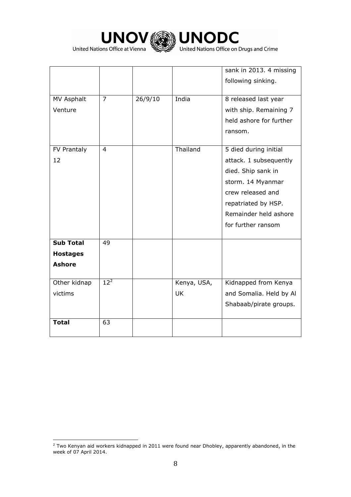



|                   |                |         |             | sank in 2013. 4 missing |
|-------------------|----------------|---------|-------------|-------------------------|
|                   |                |         |             | following sinking.      |
|                   |                |         |             |                         |
| <b>MV Asphalt</b> | $\overline{7}$ | 26/9/10 | India       | 8 released last year    |
| Venture           |                |         |             | with ship. Remaining 7  |
|                   |                |         |             | held ashore for further |
|                   |                |         |             | ransom.                 |
|                   |                |         |             |                         |
| FV Prantaly       | $\overline{4}$ |         | Thailand    | 5 died during initial   |
| 12                |                |         |             | attack. 1 subsequently  |
|                   |                |         |             | died. Ship sank in      |
|                   |                |         |             | storm. 14 Myanmar       |
|                   |                |         |             | crew released and       |
|                   |                |         |             | repatriated by HSP.     |
|                   |                |         |             | Remainder held ashore   |
|                   |                |         |             | for further ransom      |
|                   |                |         |             |                         |
| <b>Sub Total</b>  | 49             |         |             |                         |
| <b>Hostages</b>   |                |         |             |                         |
| <b>Ashore</b>     |                |         |             |                         |
|                   |                |         |             |                         |
| Other kidnap      | $12^2$         |         | Kenya, USA, | Kidnapped from Kenya    |
| victims           |                |         | <b>UK</b>   | and Somalia. Held by Al |
|                   |                |         |             | Shabaab/pirate groups.  |
|                   |                |         |             |                         |
| <b>Total</b>      | 63             |         |             |                         |
|                   |                |         |             |                         |

 $\overline{a}$  $<sup>2</sup>$  Two Kenyan aid workers kidnapped in 2011 were found near Dhobley, apparently abandoned, in the</sup> week of 07 April 2014.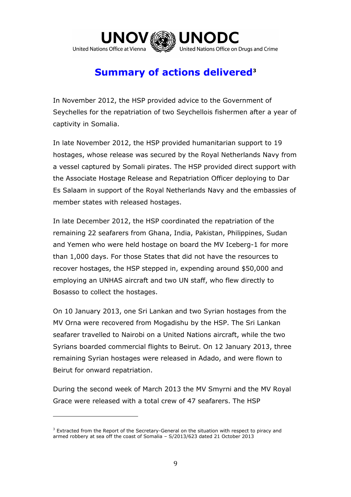

# **Summary of actions delivered<sup>3</sup>**

In November 2012, the HSP provided advice to the Government of Seychelles for the repatriation of two Seychellois fishermen after a year of captivity in Somalia.

In late November 2012, the HSP provided humanitarian support to 19 hostages, whose release was secured by the Royal Netherlands Navy from a vessel captured by Somali pirates. The HSP provided direct support with the Associate Hostage Release and Repatriation Officer deploying to Dar Es Salaam in support of the Royal Netherlands Navy and the embassies of member states with released hostages.

In late December 2012, the HSP coordinated the repatriation of the remaining 22 seafarers from Ghana, India, Pakistan, Philippines, Sudan and Yemen who were held hostage on board the MV Iceberg-1 for more than 1,000 days. For those States that did not have the resources to recover hostages, the HSP stepped in, expending around \$50,000 and employing an UNHAS aircraft and two UN staff, who flew directly to Bosasso to collect the hostages.

On 10 January 2013, one Sri Lankan and two Syrian hostages from the MV Orna were recovered from Mogadishu by the HSP. The Sri Lankan seafarer travelled to Nairobi on a United Nations aircraft, while the two Syrians boarded commercial flights to Beirut. On 12 January 2013, three remaining Syrian hostages were released in Adado, and were flown to Beirut for onward repatriation.

During the second week of March 2013 the MV Smyrni and the MV Royal Grace were released with a total crew of 47 seafarers. The HSP

 $\overline{a}$ 

 $3$  Extracted from the Report of the Secretary-General on the situation with respect to piracy and armed robbery at sea off the coast of Somalia – S/2013/623 dated 21 October 2013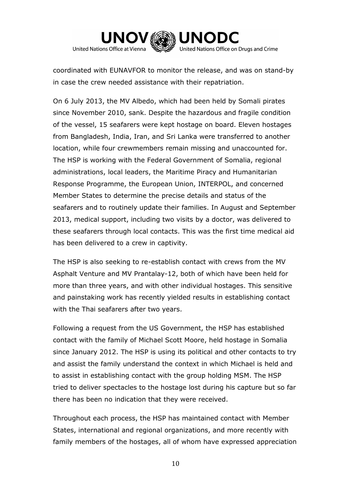

coordinated with EUNAVFOR to monitor the release, and was on stand-by in case the crew needed assistance with their repatriation.

On 6 July 2013, the MV Albedo, which had been held by Somali pirates since November 2010, sank. Despite the hazardous and fragile condition of the vessel, 15 seafarers were kept hostage on board. Eleven hostages from Bangladesh, India, Iran, and Sri Lanka were transferred to another location, while four crewmembers remain missing and unaccounted for. The HSP is working with the Federal Government of Somalia, regional administrations, local leaders, the Maritime Piracy and Humanitarian Response Programme, the European Union, INTERPOL, and concerned Member States to determine the precise details and status of the seafarers and to routinely update their families. In August and September 2013, medical support, including two visits by a doctor, was delivered to these seafarers through local contacts. This was the first time medical aid has been delivered to a crew in captivity.

The HSP is also seeking to re-establish contact with crews from the MV Asphalt Venture and MV Prantalay-12, both of which have been held for more than three years, and with other individual hostages. This sensitive and painstaking work has recently yielded results in establishing contact with the Thai seafarers after two years.

Following a request from the US Government, the HSP has established contact with the family of Michael Scott Moore, held hostage in Somalia since January 2012. The HSP is using its political and other contacts to try and assist the family understand the context in which Michael is held and to assist in establishing contact with the group holding MSM. The HSP tried to deliver spectacles to the hostage lost during his capture but so far there has been no indication that they were received.

Throughout each process, the HSP has maintained contact with Member States, international and regional organizations, and more recently with family members of the hostages, all of whom have expressed appreciation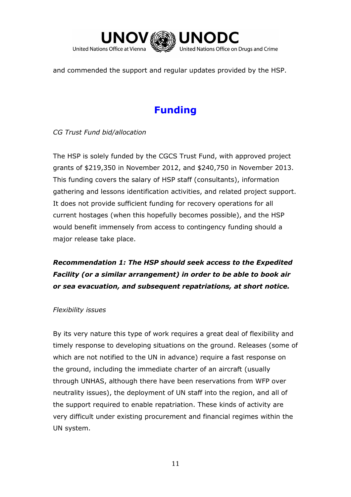

and commended the support and regular updates provided by the HSP.

# **Funding**

*CG Trust Fund bid/allocation*

The HSP is solely funded by the CGCS Trust Fund, with approved project grants of \$219,350 in November 2012, and \$240,750 in November 2013. This funding covers the salary of HSP staff (consultants), information gathering and lessons identification activities, and related project support. It does not provide sufficient funding for recovery operations for all current hostages (when this hopefully becomes possible), and the HSP would benefit immensely from access to contingency funding should a major release take place.

## *Recommendation 1: The HSP should seek access to the Expedited Facility (or a similar arrangement) in order to be able to book air or sea evacuation, and subsequent repatriations, at short notice.*

## *Flexibility issues*

By its very nature this type of work requires a great deal of flexibility and timely response to developing situations on the ground. Releases (some of which are not notified to the UN in advance) require a fast response on the ground, including the immediate charter of an aircraft (usually through UNHAS, although there have been reservations from WFP over neutrality issues), the deployment of UN staff into the region, and all of the support required to enable repatriation. These kinds of activity are very difficult under existing procurement and financial regimes within the UN system.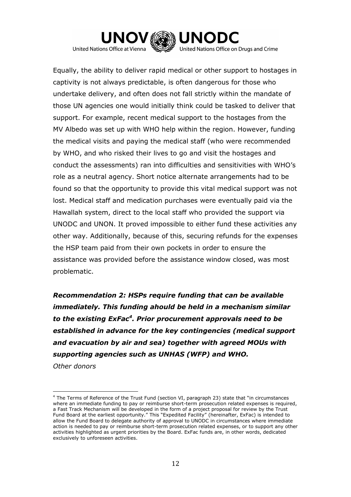

United Nations Office at Vienna

 $\overline{a}$ 

Equally, the ability to deliver rapid medical or other support to hostages in captivity is not always predictable, is often dangerous for those who undertake delivery, and often does not fall strictly within the mandate of those UN agencies one would initially think could be tasked to deliver that support. For example, recent medical support to the hostages from the MV Albedo was set up with WHO help within the region. However, funding the medical visits and paying the medical staff (who were recommended by WHO, and who risked their lives to go and visit the hostages and conduct the assessments) ran into difficulties and sensitivities with WHO's role as a neutral agency. Short notice alternate arrangements had to be found so that the opportunity to provide this vital medical support was not lost. Medical staff and medication purchases were eventually paid via the Hawallah system, direct to the local staff who provided the support via UNODC and UNON. It proved impossible to either fund these activities any other way. Additionally, because of this, securing refunds for the expenses the HSP team paid from their own pockets in order to ensure the assistance was provided before the assistance window closed, was most problematic.

*Recommendation 2: HSPs require funding that can be available immediately. This funding ahould be held in a mechanism similar to the existing ExFac<sup>4</sup> . Prior procurement approvals need to be established in advance for the key contingencies (medical support and evacuation by air and sea) together with agreed MOUs with supporting agencies such as UNHAS (WFP) and WHO. Other donors*

<sup>4</sup> The Terms of Reference of the Trust Fund (section VI, paragraph 23) state that "in circumstances where an immediate funding to pay or reimburse short-term prosecution related expenses is required, a Fast Track Mechanism will be developed in the form of a project proposal for review by the Trust Fund Board at the earliest opportunity." This "Expedited Facility" (hereinafter, ExFac) is intended to allow the Fund Board to delegate authority of approval to UNODC in circumstances where immediate action is needed to pay or reimburse short-term prosecution related expenses, or to support any other activities highlighted as urgent priorities by the Board. ExFac funds are, in other words, dedicated exclusively to unforeseen activities.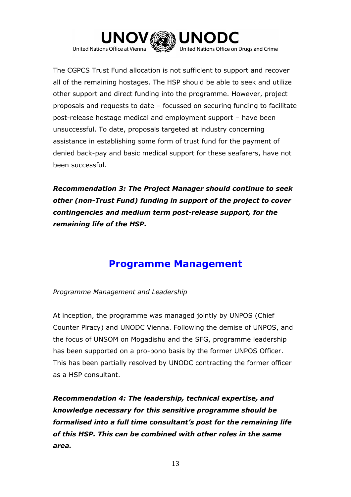

The CGPCS Trust Fund allocation is not sufficient to support and recover all of the remaining hostages. The HSP should be able to seek and utilize other support and direct funding into the programme. However, project proposals and requests to date – focussed on securing funding to facilitate post-release hostage medical and employment support – have been unsuccessful. To date, proposals targeted at industry concerning assistance in establishing some form of trust fund for the payment of denied back-pay and basic medical support for these seafarers, have not been successful.

*Recommendation 3: The Project Manager should continue to seek other (non-Trust Fund) funding in support of the project to cover contingencies and medium term post-release support, for the remaining life of the HSP.*

## **Programme Management**

*Programme Management and Leadership*

At inception, the programme was managed jointly by UNPOS (Chief Counter Piracy) and UNODC Vienna. Following the demise of UNPOS, and the focus of UNSOM on Mogadishu and the SFG, programme leadership has been supported on a pro-bono basis by the former UNPOS Officer. This has been partially resolved by UNODC contracting the former officer as a HSP consultant.

*Recommendation 4: The leadership, technical expertise, and knowledge necessary for this sensitive programme should be formalised into a full time consultant's post for the remaining life of this HSP. This can be combined with other roles in the same area.*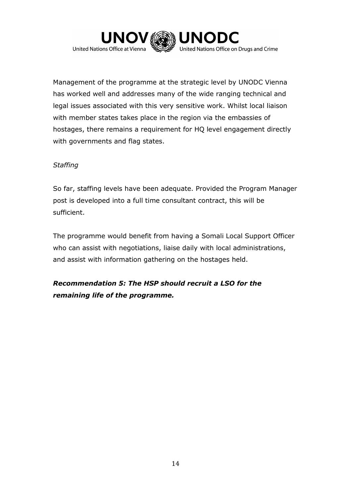

Management of the programme at the strategic level by UNODC Vienna has worked well and addresses many of the wide ranging technical and legal issues associated with this very sensitive work. Whilst local liaison with member states takes place in the region via the embassies of hostages, there remains a requirement for HQ level engagement directly with governments and flag states.

## *Staffing*

So far, staffing levels have been adequate. Provided the Program Manager post is developed into a full time consultant contract, this will be sufficient.

The programme would benefit from having a Somali Local Support Officer who can assist with negotiations, liaise daily with local administrations, and assist with information gathering on the hostages held.

*Recommendation 5: The HSP should recruit a LSO for the remaining life of the programme.*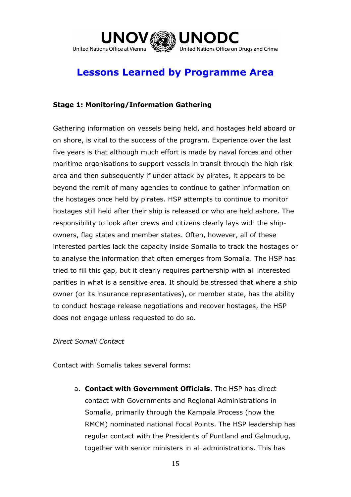

# **Lessons Learned by Programme Area**

## **Stage 1: Monitoring/Information Gathering**

Gathering information on vessels being held, and hostages held aboard or on shore, is vital to the success of the program. Experience over the last five years is that although much effort is made by naval forces and other maritime organisations to support vessels in transit through the high risk area and then subsequently if under attack by pirates, it appears to be beyond the remit of many agencies to continue to gather information on the hostages once held by pirates. HSP attempts to continue to monitor hostages still held after their ship is released or who are held ashore. The responsibility to look after crews and citizens clearly lays with the shipowners, flag states and member states. Often, however, all of these interested parties lack the capacity inside Somalia to track the hostages or to analyse the information that often emerges from Somalia. The HSP has tried to fill this gap, but it clearly requires partnership with all interested parities in what is a sensitive area. It should be stressed that where a ship owner (or its insurance representatives), or member state, has the ability to conduct hostage release negotiations and recover hostages, the HSP does not engage unless requested to do so.

### *Direct Somali Contact*

Contact with Somalis takes several forms:

a. **Contact with Government Officials**. The HSP has direct contact with Governments and Regional Administrations in Somalia, primarily through the Kampala Process (now the RMCM) nominated national Focal Points. The HSP leadership has regular contact with the Presidents of Puntland and Galmudug, together with senior ministers in all administrations. This has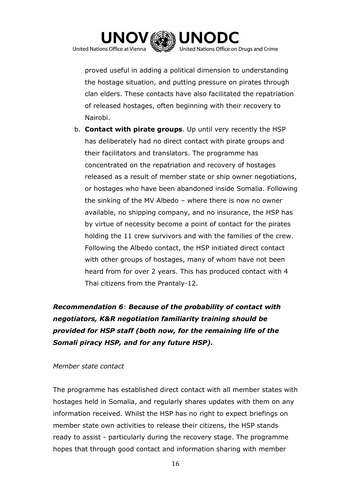

proved useful in adding a political dimension to understanding the hostage situation, and putting pressure on pirates through clan elders. These contacts have also facilitated the repatriation of released hostages, often beginning with their recovery to Nairobi.

b. **Contact with pirate groups**. Up until very recently the HSP has deliberately had no direct contact with pirate groups and their facilitators and translators. The programme has concentrated on the repatriation and recovery of hostages released as a result of member state or ship owner negotiations, or hostages who have been abandoned inside Somalia. Following the sinking of the MV Albedo – where there is now no owner available, no shipping company, and no insurance, the HSP has by virtue of necessity become a point of contact for the pirates holding the 11 crew survivors and with the families of the crew. Following the Albedo contact, the HSP initiated direct contact with other groups of hostages, many of whom have not been heard from for over 2 years. This has produced contact with 4 Thai citizens from the Prantaly-12.

## *Recommendation 6*: *Because of the probability of contact with negotiators, K&R negotiation familiarity training should be provided for HSP staff (both now, for the remaining life of the Somali piracy HSP, and for any future HSP).*

### *Member state contact*

The programme has established direct contact with all member states with hostages held in Somalia, and regularly shares updates with them on any information received. Whilst the HSP has no right to expect briefings on member state own activities to release their citizens, the HSP stands ready to assist - particularly during the recovery stage. The programme hopes that through good contact and information sharing with member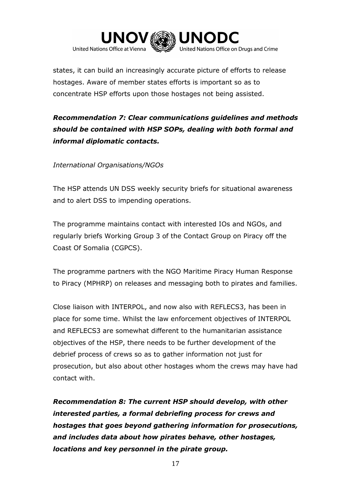

states, it can build an increasingly accurate picture of efforts to release hostages. Aware of member states efforts is important so as to concentrate HSP efforts upon those hostages not being assisted.

## *Recommendation 7: Clear communications guidelines and methods should be contained with HSP SOPs, dealing with both formal and informal diplomatic contacts.*

## *International Organisations/NGOs*

The HSP attends UN DSS weekly security briefs for situational awareness and to alert DSS to impending operations.

The programme maintains contact with interested IOs and NGOs, and regularly briefs Working Group 3 of the Contact Group on Piracy off the Coast Of Somalia (CGPCS).

The programme partners with the NGO Maritime Piracy Human Response to Piracy (MPHRP) on releases and messaging both to pirates and families.

Close liaison with INTERPOL, and now also with REFLECS3, has been in place for some time. Whilst the law enforcement objectives of INTERPOL and REFLECS3 are somewhat different to the humanitarian assistance objectives of the HSP, there needs to be further development of the debrief process of crews so as to gather information not just for prosecution, but also about other hostages whom the crews may have had contact with.

*Recommendation 8: The current HSP should develop, with other interested parties, a formal debriefing process for crews and hostages that goes beyond gathering information for prosecutions, and includes data about how pirates behave, other hostages, locations and key personnel in the pirate group.*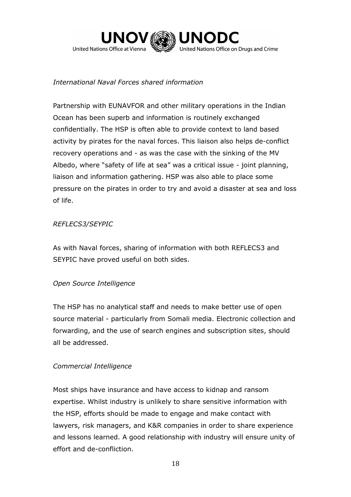

## *International Naval Forces shared information*

Partnership with EUNAVFOR and other military operations in the Indian Ocean has been superb and information is routinely exchanged confidentially. The HSP is often able to provide context to land based activity by pirates for the naval forces. This liaison also helps de-conflict recovery operations and - as was the case with the sinking of the MV Albedo, where "safety of life at sea" was a critical issue - joint planning, liaison and information gathering. HSP was also able to place some pressure on the pirates in order to try and avoid a disaster at sea and loss of life.

### *REFLECS3/SEYPIC*

As with Naval forces, sharing of information with both REFLECS3 and SEYPIC have proved useful on both sides.

## *Open Source Intelligence*

The HSP has no analytical staff and needs to make better use of open source material - particularly from Somali media. Electronic collection and forwarding, and the use of search engines and subscription sites, should all be addressed.

## *Commercial Intelligence*

Most ships have insurance and have access to kidnap and ransom expertise. Whilst industry is unlikely to share sensitive information with the HSP, efforts should be made to engage and make contact with lawyers, risk managers, and K&R companies in order to share experience and lessons learned. A good relationship with industry will ensure unity of effort and de-confliction.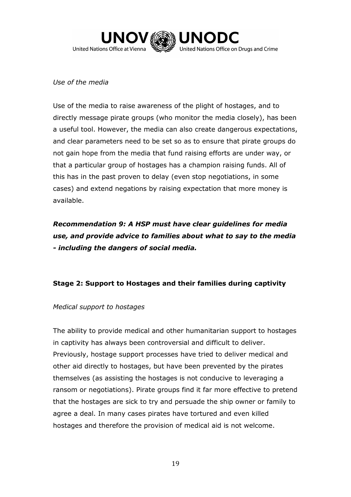

## *Use of the media*

Use of the media to raise awareness of the plight of hostages, and to directly message pirate groups (who monitor the media closely), has been a useful tool. However, the media can also create dangerous expectations, and clear parameters need to be set so as to ensure that pirate groups do not gain hope from the media that fund raising efforts are under way, or that a particular group of hostages has a champion raising funds. All of this has in the past proven to delay (even stop negotiations, in some cases) and extend negations by raising expectation that more money is available.

*Recommendation 9: A HSP must have clear guidelines for media use, and provide advice to families about what to say to the media - including the dangers of social media.* 

## **Stage 2: Support to Hostages and their families during captivity**

### *Medical support to hostages*

The ability to provide medical and other humanitarian support to hostages in captivity has always been controversial and difficult to deliver. Previously, hostage support processes have tried to deliver medical and other aid directly to hostages, but have been prevented by the pirates themselves (as assisting the hostages is not conducive to leveraging a ransom or negotiations). Pirate groups find it far more effective to pretend that the hostages are sick to try and persuade the ship owner or family to agree a deal. In many cases pirates have tortured and even killed hostages and therefore the provision of medical aid is not welcome.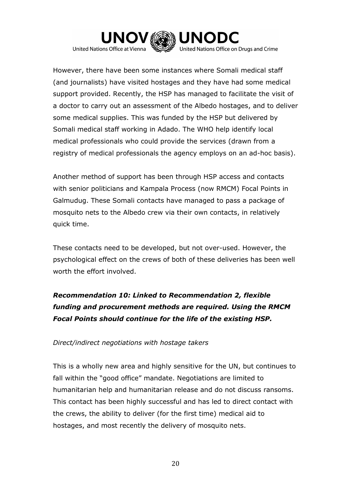

However, there have been some instances where Somali medical staff (and journalists) have visited hostages and they have had some medical support provided. Recently, the HSP has managed to facilitate the visit of a doctor to carry out an assessment of the Albedo hostages, and to deliver some medical supplies. This was funded by the HSP but delivered by Somali medical staff working in Adado. The WHO help identify local medical professionals who could provide the services (drawn from a registry of medical professionals the agency employs on an ad-hoc basis).

Another method of support has been through HSP access and contacts with senior politicians and Kampala Process (now RMCM) Focal Points in Galmudug. These Somali contacts have managed to pass a package of mosquito nets to the Albedo crew via their own contacts, in relatively quick time.

These contacts need to be developed, but not over-used. However, the psychological effect on the crews of both of these deliveries has been well worth the effort involved.

## *Recommendation 10: Linked to Recommendation 2, flexible funding and procurement methods are required. Using the RMCM Focal Points should continue for the life of the existing HSP.*

### *Direct/indirect negotiations with hostage takers*

This is a wholly new area and highly sensitive for the UN, but continues to fall within the "good office" mandate. Negotiations are limited to humanitarian help and humanitarian release and do not discuss ransoms. This contact has been highly successful and has led to direct contact with the crews, the ability to deliver (for the first time) medical aid to hostages, and most recently the delivery of mosquito nets.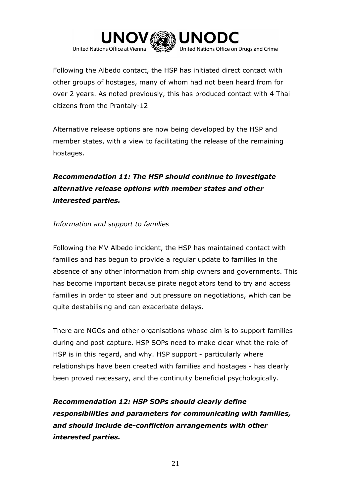

Following the Albedo contact, the HSP has initiated direct contact with other groups of hostages, many of whom had not been heard from for over 2 years. As noted previously, this has produced contact with 4 Thai citizens from the Prantaly-12

Alternative release options are now being developed by the HSP and member states, with a view to facilitating the release of the remaining hostages.

*Recommendation 11: The HSP should continue to investigate alternative release options with member states and other interested parties.*

## *Information and support to families*

Following the MV Albedo incident, the HSP has maintained contact with families and has begun to provide a regular update to families in the absence of any other information from ship owners and governments. This has become important because pirate negotiators tend to try and access families in order to steer and put pressure on negotiations, which can be quite destabilising and can exacerbate delays.

There are NGOs and other organisations whose aim is to support families during and post capture. HSP SOPs need to make clear what the role of HSP is in this regard, and why. HSP support - particularly where relationships have been created with families and hostages - has clearly been proved necessary, and the continuity beneficial psychologically.

*Recommendation 12: HSP SOPs should clearly define responsibilities and parameters for communicating with families, and should include de-confliction arrangements with other interested parties.*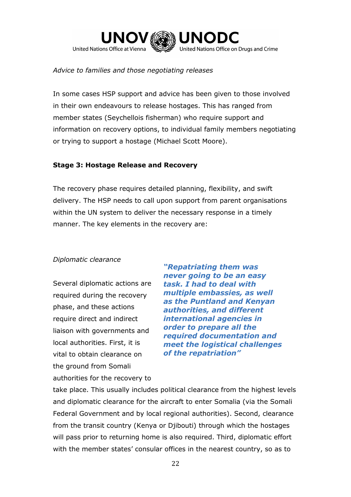

## *Advice to families and those negotiating releases*

In some cases HSP support and advice has been given to those involved in their own endeavours to release hostages. This has ranged from member states (Seychellois fisherman) who require support and information on recovery options, to individual family members negotiating or trying to support a hostage (Michael Scott Moore).

## **Stage 3: Hostage Release and Recovery**

The recovery phase requires detailed planning, flexibility, and swift delivery. The HSP needs to call upon support from parent organisations within the UN system to deliver the necessary response in a timely manner. The key elements in the recovery are:

### *Diplomatic clearance*

Several diplomatic actions are required during the recovery phase, and these actions require direct and indirect liaison with governments and local authorities. First, it is vital to obtain clearance on the ground from Somali authorities for the recovery to

*"Repatriating them was never going to be an easy task. I had to deal with multiple embassies, as well as the Puntland and Kenyan authorities, and different international agencies in order to prepare all the required documentation and meet the logistical challenges of the repatriation"*

take place. This usually includes political clearance from the highest levels and diplomatic clearance for the aircraft to enter Somalia (via the Somali Federal Government and by local regional authorities). Second, clearance from the transit country (Kenya or Djibouti) through which the hostages will pass prior to returning home is also required. Third, diplomatic effort with the member states' consular offices in the nearest country, so as to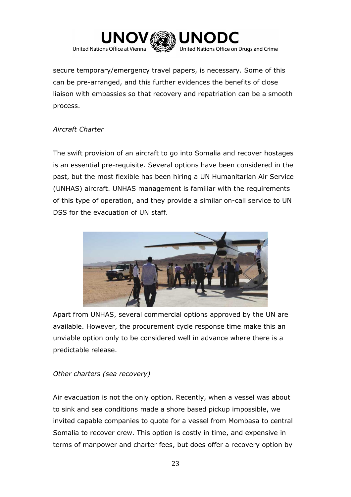

secure temporary/emergency travel papers, is necessary. Some of this can be pre-arranged, and this further evidences the benefits of close liaison with embassies so that recovery and repatriation can be a smooth process.

## *Aircraft Charter*

The swift provision of an aircraft to go into Somalia and recover hostages is an essential pre-requisite. Several options have been considered in the past, but the most flexible has been hiring a UN Humanitarian Air Service (UNHAS) aircraft. UNHAS management is familiar with the requirements of this type of operation, and they provide a similar on-call service to UN DSS for the evacuation of UN staff.



Apart from UNHAS, several commercial options approved by the UN are available. However, the procurement cycle response time make this an unviable option only to be considered well in advance where there is a predictable release.

## *Other charters (sea recovery)*

Air evacuation is not the only option. Recently, when a vessel was about to sink and sea conditions made a shore based pickup impossible, we invited capable companies to quote for a vessel from Mombasa to central Somalia to recover crew. This option is costly in time, and expensive in terms of manpower and charter fees, but does offer a recovery option by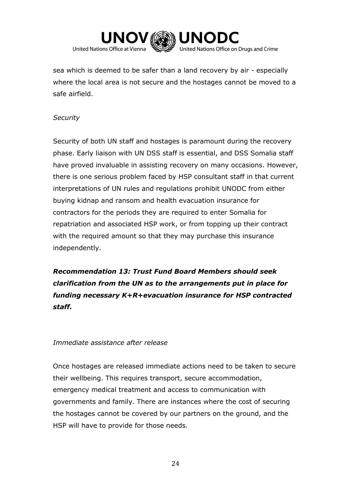

sea which is deemed to be safer than a land recovery by air - especially where the local area is not secure and the hostages cannot be moved to a safe airfield.

## *Security*

Security of both UN staff and hostages is paramount during the recovery phase. Early liaison with UN DSS staff is essential, and DSS Somalia staff have proved invaluable in assisting recovery on many occasions. However, there is one serious problem faced by HSP consultant staff in that current interpretations of UN rules and regulations prohibit UNODC from either buying kidnap and ransom and health evacuation insurance for contractors for the periods they are required to enter Somalia for repatriation and associated HSP work, or from topping up their contract with the required amount so that they may purchase this insurance independently.

*Recommendation 13: Trust Fund Board Members should seek clarification from the UN as to the arrangements put in place for funding necessary K+R+evacuation insurance for HSP contracted staff.*

## *Immediate assistance after release*

Once hostages are released immediate actions need to be taken to secure their wellbeing. This requires transport, secure accommodation, emergency medical treatment and access to communication with governments and family. There are instances where the cost of securing the hostages cannot be covered by our partners on the ground, and the HSP will have to provide for those needs.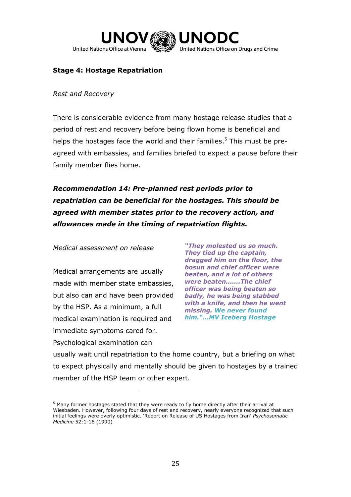

## **Stage 4: Hostage Repatriation**

#### *Rest and Recovery*

There is considerable evidence from many hostage release studies that a period of rest and recovery before being flown home is beneficial and helps the hostages face the world and their families.<sup>5</sup> This must be preagreed with embassies, and families briefed to expect a pause before their family member flies home.

*Recommendation 14: Pre-planned rest periods prior to repatriation can be beneficial for the hostages. This should be agreed with member states prior to the recovery action, and allowances made in the timing of repatriation flights.* 

*Medical assessment on release*

Medical arrangements are usually made with member state embassies, but also can and have been provided by the HSP. As a minimum, a full medical examination is required and immediate symptoms cared for. Psychological examination can

 $\overline{a}$ 

*"They molested us so much. They tied up the captain, dragged him on the floor, the bosun and chief officer were beaten, and a lot of others were beaten…….The chief officer was being beaten so badly, he was being stabbed with a knife, and then he went missing. We never found him."…MV Iceberg Hostage*

usually wait until repatriation to the home country, but a briefing on what to expect physically and mentally should be given to hostages by a trained member of the HSP team or other expert.

<sup>5</sup> Many former hostages stated that they were ready to fly home directly after their arrival at Wiesbaden. However, following four days of rest and recovery, nearly everyone recognized that such initial feelings were overly optimistic. 'Report on Release of US Hostages from Iran' *Psychosomatic Medicine* 52:1-16 (1990)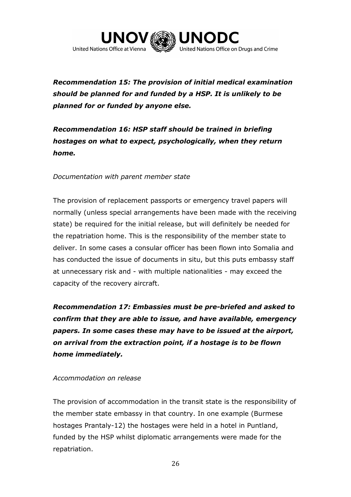

## *Recommendation 15: The provision of initial medical examination should be planned for and funded by a HSP. It is unlikely to be planned for or funded by anyone else.*

*Recommendation 16: HSP staff should be trained in briefing hostages on what to expect, psychologically, when they return home.* 

*Documentation with parent member state*

The provision of replacement passports or emergency travel papers will normally (unless special arrangements have been made with the receiving state) be required for the initial release, but will definitely be needed for the repatriation home. This is the responsibility of the member state to deliver. In some cases a consular officer has been flown into Somalia and has conducted the issue of documents in situ, but this puts embassy staff at unnecessary risk and - with multiple nationalities - may exceed the capacity of the recovery aircraft.

*Recommendation 17: Embassies must be pre-briefed and asked to confirm that they are able to issue, and have available, emergency papers. In some cases these may have to be issued at the airport, on arrival from the extraction point, if a hostage is to be flown home immediately.*

### *Accommodation on release*

The provision of accommodation in the transit state is the responsibility of the member state embassy in that country. In one example (Burmese hostages Prantaly-12) the hostages were held in a hotel in Puntland, funded by the HSP whilst diplomatic arrangements were made for the repatriation.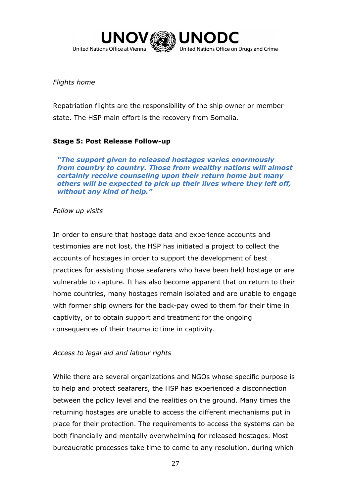

## *Flights home*

Repatriation flights are the responsibility of the ship owner or member state. The HSP main effort is the recovery from Somalia.

## **Stage 5: Post Release Follow-up**

*"The support given to released hostages varies enormously from country to country. Those from wealthy nations will almost certainly receive counseling upon their return home but many others will be expected to pick up their lives where they left off, without any kind of help."*

## *Follow up visits*

In order to ensure that hostage data and experience accounts and testimonies are not lost, the HSP has initiated a project to collect the accounts of hostages in order to support the development of best practices for assisting those seafarers who have been held hostage or are vulnerable to capture. It has also become apparent that on return to their home countries, many hostages remain isolated and are unable to engage with former ship owners for the back-pay owed to them for their time in captivity, or to obtain support and treatment for the ongoing consequences of their traumatic time in captivity.

### *Access to legal aid and labour rights*

While there are several organizations and NGOs whose specific purpose is to help and protect seafarers, the HSP has experienced a disconnection between the policy level and the realities on the ground. Many times the returning hostages are unable to access the different mechanisms put in place for their protection. The requirements to access the systems can be both financially and mentally overwhelming for released hostages. Most bureaucratic processes take time to come to any resolution, during which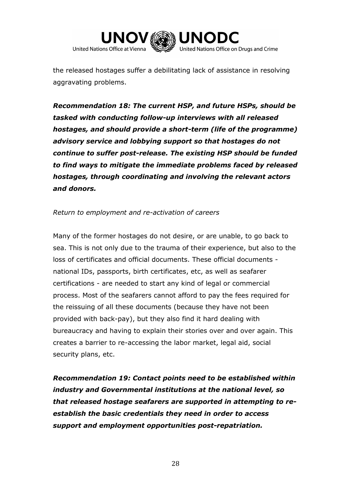

the released hostages suffer a debilitating lack of assistance in resolving aggravating problems.

*Recommendation 18: The current HSP, and future HSPs, should be tasked with conducting follow-up interviews with all released hostages, and should provide a short-term (life of the programme) advisory service and lobbying support so that hostages do not continue to suffer post-release. The existing HSP should be funded to find ways to mitigate the immediate problems faced by released hostages, through coordinating and involving the relevant actors and donors.*

## *Return to employment and re-activation of careers*

Many of the former hostages do not desire, or are unable, to go back to sea. This is not only due to the trauma of their experience, but also to the loss of certificates and official documents. These official documents national IDs, passports, birth certificates, etc, as well as seafarer certifications - are needed to start any kind of legal or commercial process. Most of the seafarers cannot afford to pay the fees required for the reissuing of all these documents (because they have not been provided with back-pay), but they also find it hard dealing with bureaucracy and having to explain their stories over and over again. This creates a barrier to re-accessing the labor market, legal aid, social security plans, etc.

*Recommendation 19: Contact points need to be established within industry and Governmental institutions at the national level, so that released hostage seafarers are supported in attempting to reestablish the basic credentials they need in order to access support and employment opportunities post-repatriation.*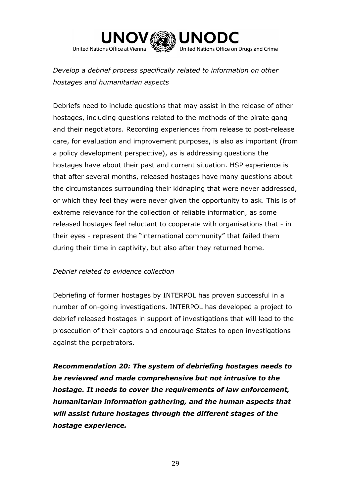

*Develop a debrief process specifically related to information on other hostages and humanitarian aspects*

Debriefs need to include questions that may assist in the release of other hostages, including questions related to the methods of the pirate gang and their negotiators. Recording experiences from release to post-release care, for evaluation and improvement purposes, is also as important (from a policy development perspective), as is addressing questions the hostages have about their past and current situation. HSP experience is that after several months, released hostages have many questions about the circumstances surrounding their kidnaping that were never addressed, or which they feel they were never given the opportunity to ask. This is of extreme relevance for the collection of reliable information, as some released hostages feel reluctant to cooperate with organisations that - in their eyes - represent the "international community" that failed them during their time in captivity, but also after they returned home.

### *Debrief related to evidence collection*

Debriefing of former hostages by INTERPOL has proven successful in a number of on-going investigations. INTERPOL has developed a project to debrief released hostages in support of investigations that will lead to the prosecution of their captors and encourage States to open investigations against the perpetrators.

*Recommendation 20: The system of debriefing hostages needs to be reviewed and made comprehensive but not intrusive to the hostage. It needs to cover the requirements of law enforcement, humanitarian information gathering, and the human aspects that will assist future hostages through the different stages of the hostage experience.*